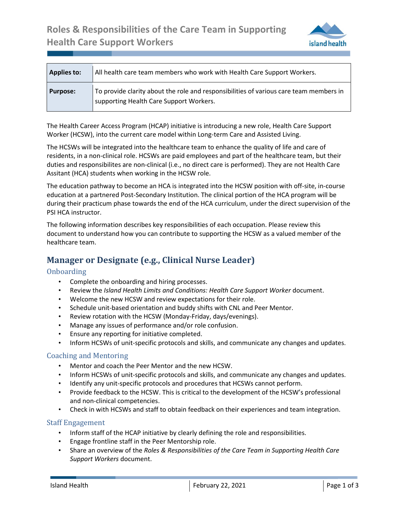

| <b>Applies to:</b> | All health care team members who work with Health Care Support Workers.                                                           |
|--------------------|-----------------------------------------------------------------------------------------------------------------------------------|
| <b>Purpose:</b>    | To provide clarity about the role and responsibilities of various care team members in<br>supporting Health Care Support Workers. |

The Health Career Access Program (HCAP) initiative is introducing a new role, Health Care Support Worker (HCSW), into the current care model within Long-term Care and Assisted Living.

The HCSWs will be integrated into the healthcare team to enhance the quality of life and care of residents, in a non-clinical role. HCSWs are paid employees and part of the healthcare team, but their duties and responsibilites are non-clinical (i.e., no direct care is performed). They are not Health Care Assitant (HCA) students when working in the HCSW role.

The education pathway to become an HCA is integrated into the HCSW position with off-site, in-course education at a partnered Post-Secondary Institution. The clinical portion of the HCA program will be during their practicum phase towards the end of the HCA curriculum, under the direct supervision of the PSI HCA instructor.

The following information describes key responsibilities of each occupation. Please review this document to understand how you can contribute to supporting the HCSW as a valued member of the healthcare team.

# **Manager or Designate (e.g., Clinical Nurse Leader)**

#### **Onboarding**

.

- Complete the onboarding and hiring processes.
- Review the *Island Health Limits and Conditions: Health Care Support Worker* document.
- Welcome the new HCSW and review expectations for their role.
- Schedule unit-based orientation and buddy shifts with CNL and Peer Mentor.
- Review rotation with the HCSW (Monday-Friday, days/evenings).
- Manage any issues of performance and/or role confusion.
- Ensure any reporting for initiative completed.
- Inform HCSWs of unit-specific protocols and skills, and communicate any changes and updates.

#### Coaching and Mentoring

- Mentor and coach the Peer Mentor and the new HCSW.
- Inform HCSWs of unit-specific protocols and skills, and communicate any changes and updates.
- Identify any unit-specific protocols and procedures that HCSWs cannot perform.
- Provide feedback to the HCSW. This is critical to the development of the HCSW's professional and non-clinical competencies.
- Check in with HCSWs and staff to obtain feedback on their experiences and team integration.

#### Staff Engagement

- Inform staff of the HCAP initiative by clearly defining the role and responsibilities.
- Engage frontline staff in the Peer Mentorship role.
- Share an overview of the *Roles & Responsibilities of the Care Team in Supporting Health Care Support Workers* document.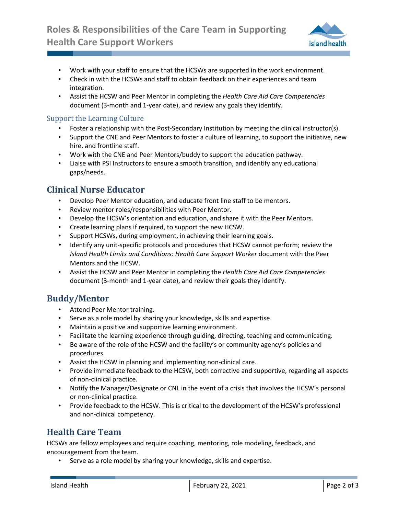

- Work with your staff to ensure that the HCSWs are supported in the work environment.
- Check in with the HCSWs and staff to obtain feedback on their experiences and team integration.
- Assist the HCSW and Peer Mentor in completing the *Health Care Aid Care Competencies* document (3-month and 1-year date), and review any goals they identify.

#### Support the Learning Culture

.

- Foster a relationship with the Post-Secondary Institution by meeting the clinical instructor(s).
- Support the CNE and Peer Mentors to foster a culture of learning, to support the initiative, new hire, and frontline staff.
- Work with the CNE and Peer Mentors/buddy to support the education pathway.
- Liaise with PSI Instructors to ensure a smooth transition, and identify any educational gaps/needs.

## **Clinical Nurse Educator**

- Develop Peer Mentor education, and educate front line staff to be mentors.
- Review mentor roles/responsibilities with Peer Mentor.
- Develop the HCSW's orientation and education, and share it with the Peer Mentors.
- Create learning plans if required, to support the new HCSW.
- Support HCSWs, during employment, in achieving their learning goals.
- Identify any unit-specific protocols and procedures that HCSW cannot perform; review the *Island Health Limits and Conditions: Health Care Support Worker* document with the Peer Mentors and the HCSW.
- Assist the HCSW and Peer Mentor in completing the *Health Care Aid Care Competencies* document (3-month and 1-year date), and review their goals they identify.

## **Buddy/Mentor**

- Attend Peer Mentor training.
- Serve as a role model by sharing your knowledge, skills and expertise.
- Maintain a positive and supportive learning environment.
- Facilitate the learning experience through guiding, directing, teaching and communicating.
- Be aware of the role of the HCSW and the facility's or community agency's policies and procedures.
- Assist the HCSW in planning and implementing non-clinical care.
- Provide immediate feedback to the HCSW, both corrective and supportive, regarding all aspects of non-clinical practice.
- Notify the Manager/Designate or CNL in the event of a crisis that involves the HCSW's personal or non-clinical practice.
- Provide feedback to the HCSW. This is critical to the development of the HCSW's professional and non-clinical competency.

## **Health Care Team**

HCSWs are fellow employees and require coaching, mentoring, role modeling, feedback, and encouragement from the team.

Serve as a role model by sharing your knowledge, skills and expertise.